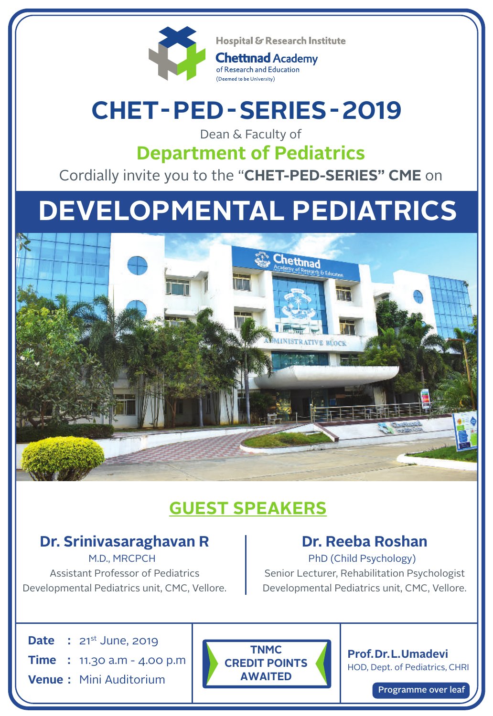

Hospital & Research Institute

**Chettinad Academy** of Research and Education (Deemed to be University)

# **CHET- PED -SERIES-2019**

### Dean & Faculty of **Department of Pediatrics**

Cordially invite you to the "**CHET-PED-SERIES" CME** on

# **DEVELOPMENTAL PEDIATRICS**



## **GUEST SPEAKERS**

#### **Dr. Srinivasaraghavan R** M.D., MRCPCH

Assistant Professor of Pediatrics Developmental Pediatrics unit, CMC, Vellore.

## **Dr. Reeba Roshan**

PhD (Child Psychology) Senior Lecturer, Rehabilitation Psychologist Developmental Pediatrics unit, CMC, Vellore.

**Date :** 21st June, 2019 **Time :** 11.30 a.m - 4.00 p.m

**Venue :** Mini Auditorium

**TNMC CREDIT POINTS AWAITED**

**Prof.Dr.L.Umadevi** HOD, Dept. of Pediatrics, CHRI

Programme over leaf